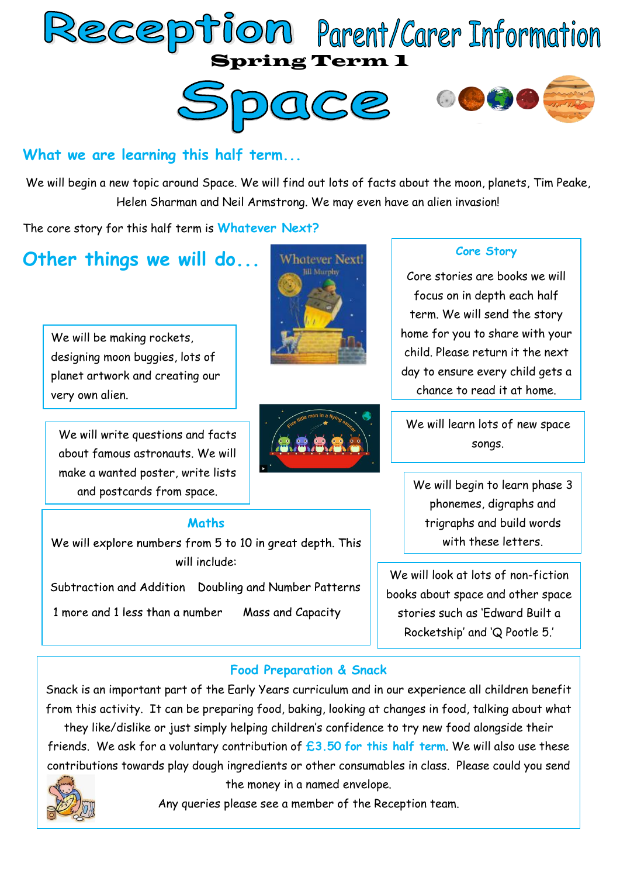





### **What we are learning this half term...**

We will begin a new topic around Space. We will find out lots of facts about the moon, planets, Tim Peake, Helen Sharman and Neil Armstrong. We may even have an alien invasion!

The core story for this half term is **Whatever Next?**

## **Other things we will do...**

We will be making rockets, designing moon buggies, lots of planet artwork and creating our very own alien.

We will write questions and facts about famous astronauts. We will make a wanted poster, write lists and postcards from space.





#### **Core Story**

Core stories are books we will focus on in depth each half term. We will send the story home for you to share with your child. Please return it the next day to ensure every child gets a chance to read it at home.

We will learn lots of new space songs.

We will begin to learn phase 3 phonemes, digraphs and trigraphs and build words with these letters.

We will look at lots of non-fiction books about space and other space stories such as 'Edward Built a Rocketship' and 'Q Pootle 5.'

#### **Maths**

We will explore numbers from 5 to 10 in great depth. This will include:

Subtraction and Addition Doubling and Number Patterns

1 more and 1 less than a number Mass and Capacity

#### **Food Preparation & Snack**

Snack is an important part of the Early Years curriculum and in our experience all children benefit from this activity. It can be preparing food, baking, looking at changes in food, talking about what

they like/dislike or just simply helping children's confidence to try new food alongside their friends. We ask for a voluntary contribution of **£3.50 for this half term**. We will also use these contributions towards play dough ingredients or other consumables in class. Please could you send



the money in a named envelope.

Any queries please see a member of the Reception team.